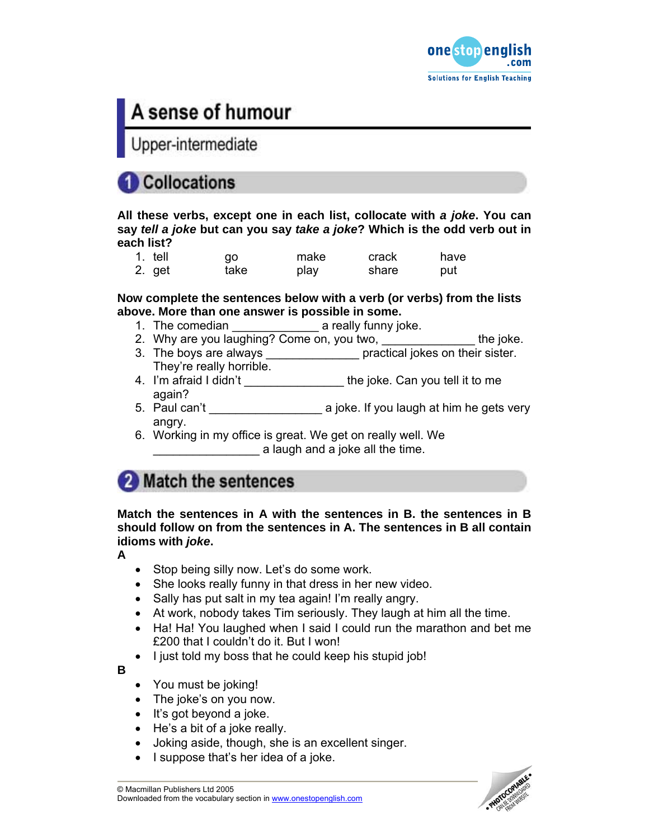

# A sense of humour

Upper-intermediate

## **Collocations**

**All these verbs, except one in each list, collocate with** *a joke***. You can say** *tell a joke* **but can you say** *take a joke***? Which is the odd verb out in each list?** 

| 1. tell | qo   | make | crack | have |
|---------|------|------|-------|------|
| 2. get  | take | play | share | put  |

**Now complete the sentences below with a verb (or verbs) from the lists above. More than one answer is possible in some.** 

- 1. The comedian \_\_\_\_\_\_\_\_\_\_\_\_\_ a really funny joke.
- 2. Why are you laughing? Come on, you two, \_\_\_\_\_\_\_\_\_\_\_\_\_\_\_\_\_ the joke.
- 3. The boys are always \_\_\_\_\_\_\_\_\_\_\_\_\_\_\_\_\_\_ practical jokes on their sister. They're really horrible.
- 4. I'm afraid I didn't \_\_\_\_\_\_\_\_\_\_\_\_\_\_\_\_\_\_ the joke. Can you tell it to me again?
- 5. Paul can't a series a joke. If you laugh at him he gets very angry.
- 6. Working in my office is great. We get on really well. We a laugh and a joke all the time.

## 2 Match the sentences

**Match the sentences in A with the sentences in B. the sentences in B should follow on from the sentences in A. The sentences in B all contain idioms with** *joke***.** 

**A** 

- Stop being silly now. Let's do some work.
- She looks really funny in that dress in her new video.
- Sally has put salt in my tea again! I'm really angry.
- At work, nobody takes Tim seriously. They laugh at him all the time.
- Ha! Ha! You laughed when I said I could run the marathon and bet me £200 that I couldn't do it. But I won!
- I just told my boss that he could keep his stupid job!

**B** 

- You must be joking!
- The joke's on you now.
- It's got beyond a joke.
- He's a bit of a joke really.
- Joking aside, though, she is an excellent singer.
- I suppose that's her idea of a joke.

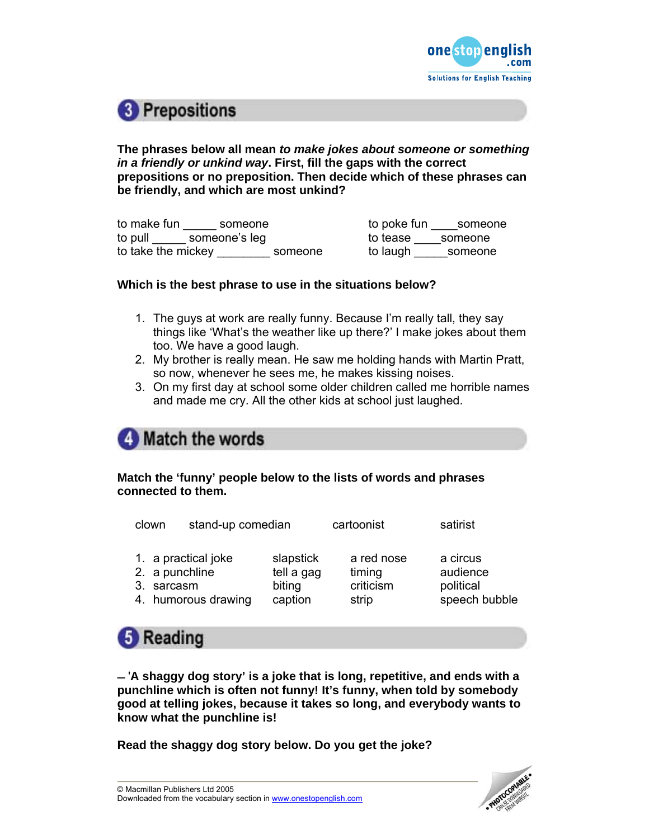

## <sup>8</sup> Prepositions

**The phrases below all mean** *to make jokes about someone or something in a friendly or unkind way***. First, fill the gaps with the correct prepositions or no preposition. Then decide which of these phrases can be friendly, and which are most unkind?** 

to make fun someone to poke fun someone to pull someone's leg to tease someone to take the mickey \_\_\_\_\_\_\_\_\_\_\_ someone to laugh \_\_\_\_\_\_ someone

## **Which is the best phrase to use in the situations below?**

- 1. The guys at work are really funny. Because I'm really tall, they say things like 'What's the weather like up there?' I make jokes about them too. We have a good laugh.
- 2. My brother is really mean. He saw me holding hands with Martin Pratt, so now, whenever he sees me, he makes kissing noises.
- 3. On my first day at school some older children called me horrible names and made me cry. All the other kids at school just laughed.

## **4** Match the words

## **Match the 'funny' people below to the lists of words and phrases connected to them.**

| clown                        | stand-up comedian                          |                                              | cartoonist                                 | satirist                                           |
|------------------------------|--------------------------------------------|----------------------------------------------|--------------------------------------------|----------------------------------------------------|
| 2. a punchline<br>3. sarcasm | 1. a practical joke<br>4. humorous drawing | slapstick<br>tell a gag<br>biting<br>caption | a red nose<br>timing<br>criticism<br>strip | a circus<br>audience<br>political<br>speech bubble |



 '**A shaggy dog story' is a joke that is long, repetitive, and ends with a punchline which is often not funny! It's funny, when told by somebody good at telling jokes, because it takes so long, and everybody wants to know what the punchline is!** 

**Read the shaggy dog story below. Do you get the joke?** 

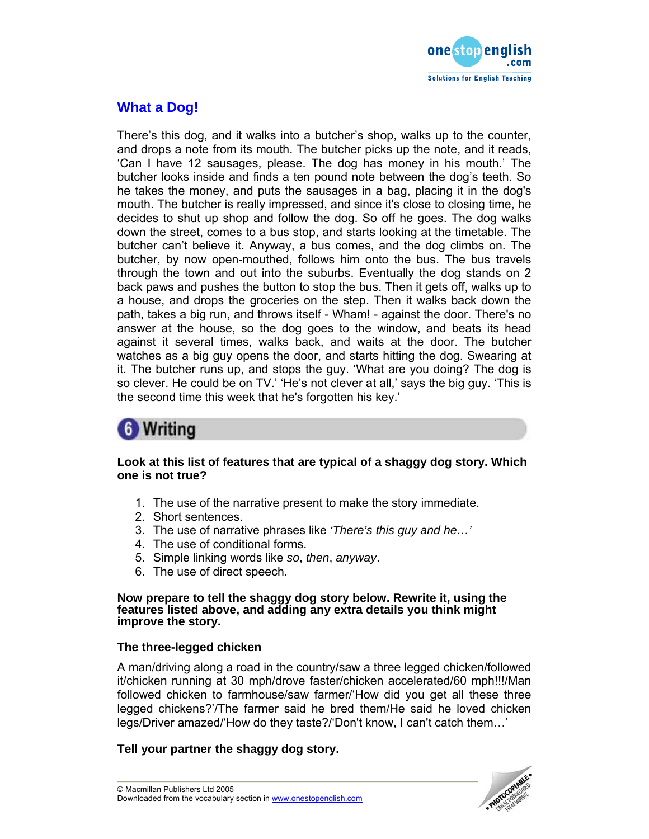

## **What a Dog!**

There's this dog, and it walks into a butcher's shop, walks up to the counter, and drops a note from its mouth. The butcher picks up the note, and it reads, 'Can I have 12 sausages, please. The dog has money in his mouth.' The butcher looks inside and finds a ten pound note between the dog's teeth. So he takes the money, and puts the sausages in a bag, placing it in the dog's mouth. The butcher is really impressed, and since it's close to closing time, he decides to shut up shop and follow the dog. So off he goes. The dog walks down the street, comes to a bus stop, and starts looking at the timetable. The butcher can't believe it. Anyway, a bus comes, and the dog climbs on. The butcher, by now open-mouthed, follows him onto the bus. The bus travels through the town and out into the suburbs. Eventually the dog stands on 2 back paws and pushes the button to stop the bus. Then it gets off, walks up to a house, and drops the groceries on the step. Then it walks back down the path, takes a big run, and throws itself - Wham! - against the door. There's no answer at the house, so the dog goes to the window, and beats its head against it several times, walks back, and waits at the door. The butcher watches as a big guy opens the door, and starts hitting the dog. Swearing at it. The butcher runs up, and stops the guy. 'What are you doing? The dog is so clever. He could be on TV.' 'He's not clever at all,' says the big guy. 'This is the second time this week that he's forgotten his key.'

## **6** Writing

## **Look at this list of features that are typical of a shaggy dog story. Which one is not true?**

- 1. The use of the narrative present to make the story immediate.
- 2. Short sentences.
- 3. The use of narrative phrases like *'There's this guy and he…'*
- 4. The use of conditional forms.
- 5. Simple linking words like *so*, *then*, *anyway*.
- 6. The use of direct speech.

#### **Now prepare to tell the shaggy dog story below. Rewrite it, using the features listed above, and adding any extra details you think might improve the story.**

## **The three-legged chicken**

A man/driving along a road in the country/saw a three legged chicken/followed it/chicken running at 30 mph/drove faster/chicken accelerated/60 mph!!!/Man followed chicken to farmhouse/saw farmer/'How did you get all these three legged chickens?'/The farmer said he bred them/He said he loved chicken legs/Driver amazed/'How do they taste?/'Don't know, I can't catch them…'

## **Tell your partner the shaggy dog story.**

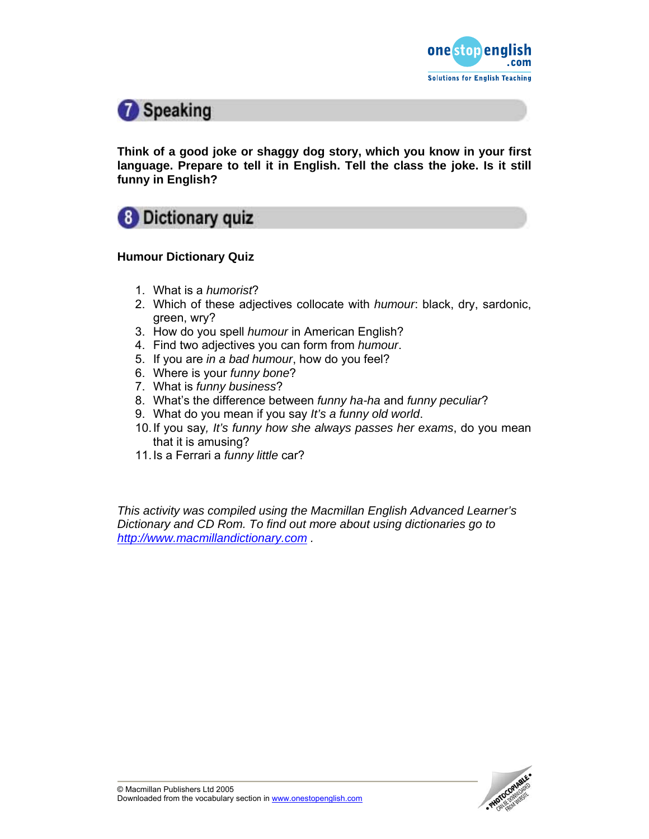



**Think of a good joke or shaggy dog story, which you know in your first language. Prepare to tell it in English. Tell the class the joke. Is it still funny in English?** 



## **Humour Dictionary Quiz**

- 1. What is a *humorist*?
- 2. Which of these adjectives collocate with *humour*: black, dry, sardonic, green, wry?
- 3. How do you spell *humour* in American English?
- 4. Find two adjectives you can form from *humour*.
- 5. If you are *in a bad humour*, how do you feel?
- 6. Where is your *funny bone*?
- 7. What is *funny business*?
- 8. What's the difference between *funny ha-ha* and *funny peculiar*?
- 9. What do you mean if you say *It's a funny old world*.
- 10. If you say*, It's funny how she always passes her exams*, do you mean that it is amusing?
- 11. Is a Ferrari a *funny little* car?

*This activity was compiled using the Macmillan English Advanced Learner's Dictionary and CD Rom. To find out more about using dictionaries go to http://www.macmillandictionary.com .* 

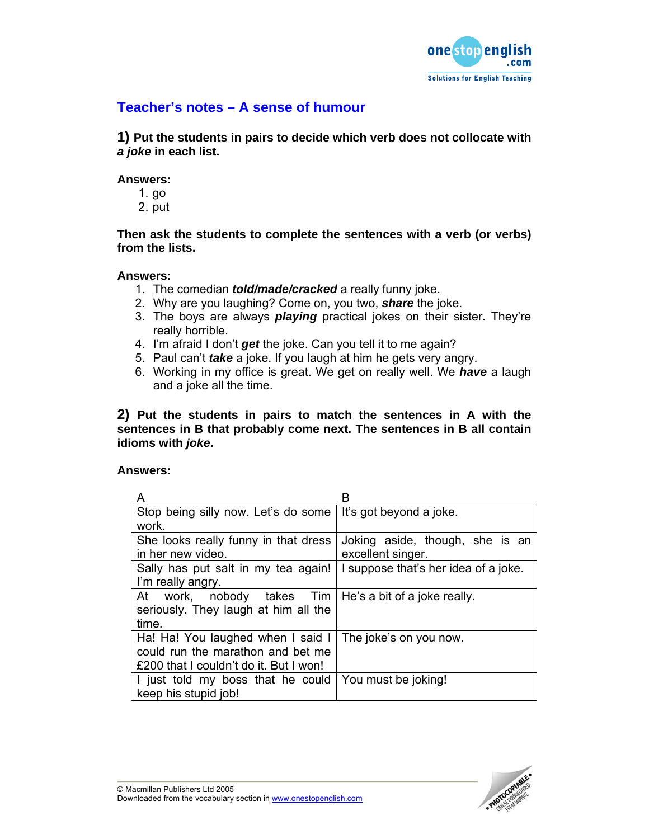

## **Teacher's notes – A sense of humour**

**1) Put the students in pairs to decide which verb does not collocate with**  *a joke* **in each list.** 

### **Answers:**

- 1. go
- 2. put

**Then ask the students to complete the sentences with a verb (or verbs) from the lists.** 

### **Answers:**

- 1. The comedian *told/made/cracked* a really funny joke.
- 2. Why are you laughing? Come on, you two, *share* the joke.
- 3. The boys are always *playing* practical jokes on their sister. They're really horrible.
- 4. I'm afraid I don't *get* the joke. Can you tell it to me again?
- 5. Paul can't *take* a joke. If you laugh at him he gets very angry.
- 6. Working in my office is great. We get on really well. We *have* a laugh and a joke all the time.

**2) Put the students in pairs to match the sentences in A with the sentences in B that probably come next. The sentences in B all contain idioms with** *joke***.** 

## **Answers:**

| A                                                             |                                      |  |
|---------------------------------------------------------------|--------------------------------------|--|
| Stop being silly now. Let's do some   It's got beyond a joke. |                                      |  |
| work.                                                         |                                      |  |
| She looks really funny in that dress                          | Joking aside, though, she is an      |  |
| in her new video.                                             | excellent singer.                    |  |
| Sally has put salt in my tea again!                           | I suppose that's her idea of a joke. |  |
| I'm really angry.                                             |                                      |  |
| At work, nobody takes Tim   He's a bit of a joke really.      |                                      |  |
| seriously. They laugh at him all the                          |                                      |  |
| time.                                                         |                                      |  |
| Ha! Ha! You laughed when I said I                             | The joke's on you now.               |  |
| could run the marathon and bet me                             |                                      |  |
| £200 that I couldn't do it. But I won!                        |                                      |  |
| I just told my boss that he could                             | You must be joking!                  |  |
| keep his stupid job!                                          |                                      |  |

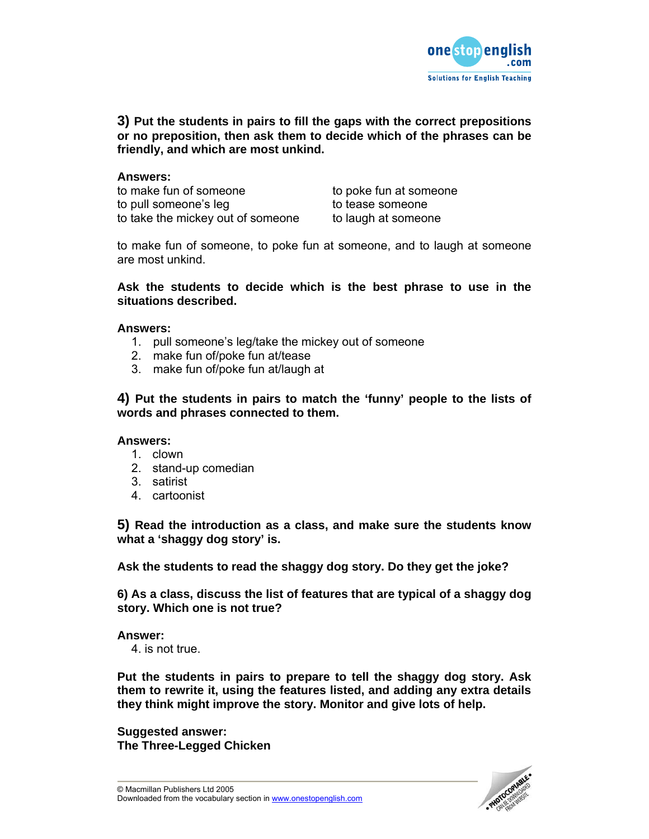

## **3) Put the students in pairs to fill the gaps with the correct prepositions or no preposition, then ask them to decide which of the phrases can be friendly, and which are most unkind.**

### **Answers:**

to make fun of someone to poke fun at someone to pull someone's leg to tease someone to take the mickey out of someone to laugh at someone

to make fun of someone, to poke fun at someone, and to laugh at someone are most unkind.

### **Ask the students to decide which is the best phrase to use in the situations described.**

### **Answers:**

- 1. pull someone's leg/take the mickey out of someone
- 2. make fun of/poke fun at/tease
- 3. make fun of/poke fun at/laugh at

**4) Put the students in pairs to match the 'funny' people to the lists of words and phrases connected to them.** 

#### **Answers:**

- 1. clown
- 2. stand-up comedian
- 3. satirist
- 4. cartoonist

**5) Read the introduction as a class, and make sure the students know what a 'shaggy dog story' is.** 

**Ask the students to read the shaggy dog story. Do they get the joke?** 

**6) As a class, discuss the list of features that are typical of a shaggy dog story. Which one is not true?** 

**Answer:** 

4. is not true.

**Put the students in pairs to prepare to tell the shaggy dog story. Ask them to rewrite it, using the features listed, and adding any extra details they think might improve the story. Monitor and give lots of help.** 

**Suggested answer: The Three-Legged Chicken**